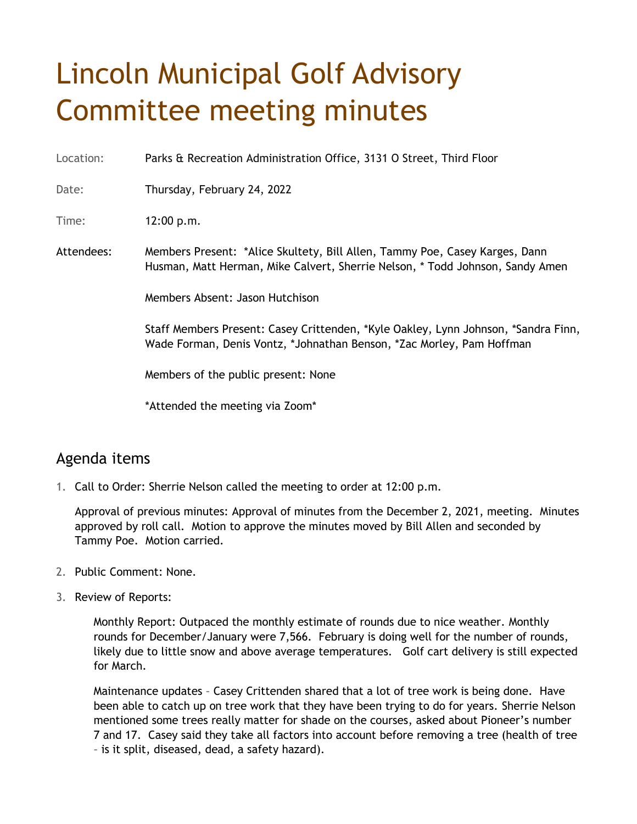## Lincoln Municipal Golf Advisory Committee meeting minutes

Location: Parks & Recreation Administration Office, 3131 O Street, Third Floor

Date: Thursday, February 24, 2022

Time: 12:00 p.m.

Attendees: Members Present: \*Alice Skultety, Bill Allen, Tammy Poe, Casey Karges, Dann Husman, Matt Herman, Mike Calvert, Sherrie Nelson, \* Todd Johnson, Sandy Amen

Members Absent: Jason Hutchison

Staff Members Present: Casey Crittenden, \*Kyle Oakley, Lynn Johnson, \*Sandra Finn, Wade Forman, Denis Vontz, \*Johnathan Benson, \*Zac Morley, Pam Hoffman

Members of the public present: None

\*Attended the meeting via Zoom\*

## Agenda items

1. Call to Order: Sherrie Nelson called the meeting to order at 12:00 p.m.

Approval of previous minutes: Approval of minutes from the December 2, 2021, meeting. Minutes approved by roll call. Motion to approve the minutes moved by Bill Allen and seconded by Tammy Poe. Motion carried.

- 2. Public Comment: None.
- 3. Review of Reports:

Monthly Report: Outpaced the monthly estimate of rounds due to nice weather. Monthly rounds for December/January were 7,566. February is doing well for the number of rounds, likely due to little snow and above average temperatures. Golf cart delivery is still expected for March.

Maintenance updates – Casey Crittenden shared that a lot of tree work is being done. Have been able to catch up on tree work that they have been trying to do for years. Sherrie Nelson mentioned some trees really matter for shade on the courses, asked about Pioneer's number 7 and 17. Casey said they take all factors into account before removing a tree (health of tree – is it split, diseased, dead, a safety hazard).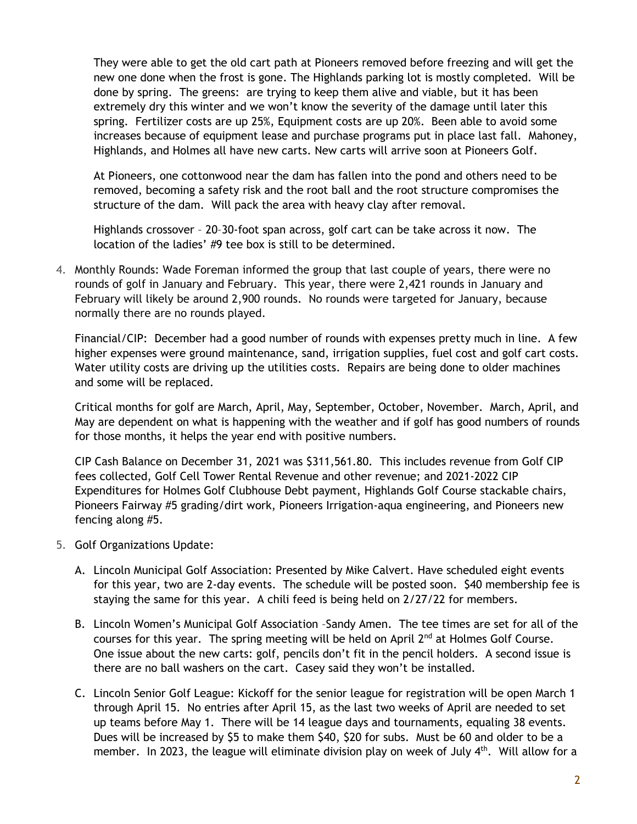They were able to get the old cart path at Pioneers removed before freezing and will get the new one done when the frost is gone. The Highlands parking lot is mostly completed. Will be done by spring. The greens: are trying to keep them alive and viable, but it has been extremely dry this winter and we won't know the severity of the damage until later this spring. Fertilizer costs are up 25%, Equipment costs are up 20%. Been able to avoid some increases because of equipment lease and purchase programs put in place last fall. Mahoney, Highlands, and Holmes all have new carts. New carts will arrive soon at Pioneers Golf.

At Pioneers, one cottonwood near the dam has fallen into the pond and others need to be removed, becoming a safety risk and the root ball and the root structure compromises the structure of the dam. Will pack the area with heavy clay after removal.

Highlands crossover – 20–30-foot span across, golf cart can be take across it now. The location of the ladies' #9 tee box is still to be determined.

4. Monthly Rounds: Wade Foreman informed the group that last couple of years, there were no rounds of golf in January and February. This year, there were 2,421 rounds in January and February will likely be around 2,900 rounds. No rounds were targeted for January, because normally there are no rounds played.

Financial/CIP: December had a good number of rounds with expenses pretty much in line. A few higher expenses were ground maintenance, sand, irrigation supplies, fuel cost and golf cart costs. Water utility costs are driving up the utilities costs. Repairs are being done to older machines and some will be replaced.

Critical months for golf are March, April, May, September, October, November. March, April, and May are dependent on what is happening with the weather and if golf has good numbers of rounds for those months, it helps the year end with positive numbers.

CIP Cash Balance on December 31, 2021 was \$311,561.80. This includes revenue from Golf CIP fees collected, Golf Cell Tower Rental Revenue and other revenue; and 2021-2022 CIP Expenditures for Holmes Golf Clubhouse Debt payment, Highlands Golf Course stackable chairs, Pioneers Fairway #5 grading/dirt work, Pioneers Irrigation-aqua engineering, and Pioneers new fencing along #5.

- 5. Golf Organizations Update:
	- A. Lincoln Municipal Golf Association: Presented by Mike Calvert. Have scheduled eight events for this year, two are 2-day events. The schedule will be posted soon. \$40 membership fee is staying the same for this year. A chili feed is being held on 2/27/22 for members.
	- B. Lincoln Women's Municipal Golf Association –Sandy Amen. The tee times are set for all of the courses for this year. The spring meeting will be held on April  $2<sup>nd</sup>$  at Holmes Golf Course. One issue about the new carts: golf, pencils don't fit in the pencil holders. A second issue is there are no ball washers on the cart. Casey said they won't be installed.
	- C. Lincoln Senior Golf League: Kickoff for the senior league for registration will be open March 1 through April 15. No entries after April 15, as the last two weeks of April are needed to set up teams before May 1. There will be 14 league days and tournaments, equaling 38 events. Dues will be increased by \$5 to make them \$40, \$20 for subs. Must be 60 and older to be a member. In 2023, the league will eliminate division play on week of July  $4<sup>th</sup>$ . Will allow for a